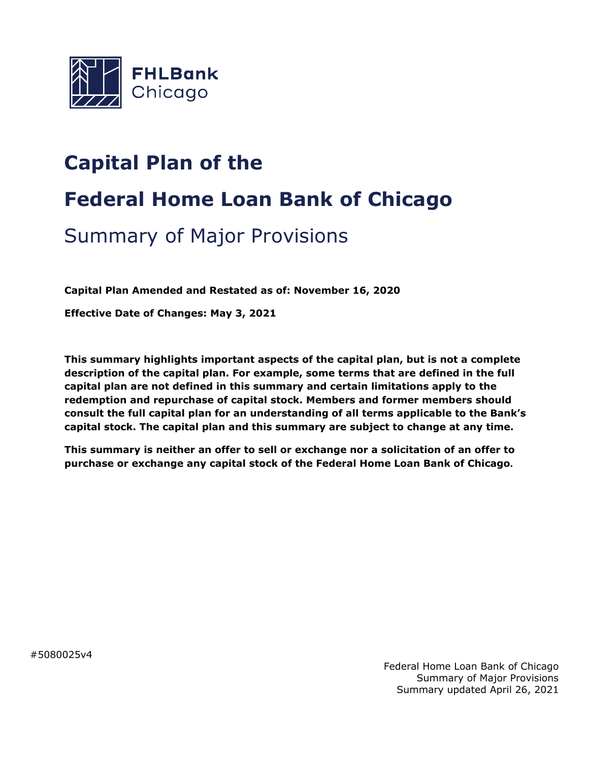

# **Capital Plan of the**

# **Federal Home Loan Bank of Chicago**

# Summary of Major Provisions

**Capital Plan Amended and Restated as of: November 16, 2020**

**Effective Date of Changes: May 3, 2021**

**This summary highlights important aspects of the capital plan, but is not a complete description of the capital plan. For example, some terms that are defined in the full capital plan are not defined in this summary and certain limitations apply to the redemption and repurchase of capital stock. Members and former members should consult the full capital plan for an understanding of all terms applicable to the Bank's capital stock. The capital plan and this summary are subject to change at any time.**

**This summary is neither an offer to sell or exchange nor a solicitation of an offer to purchase or exchange any capital stock of the Federal Home Loan Bank of Chicago.**

#5080025v4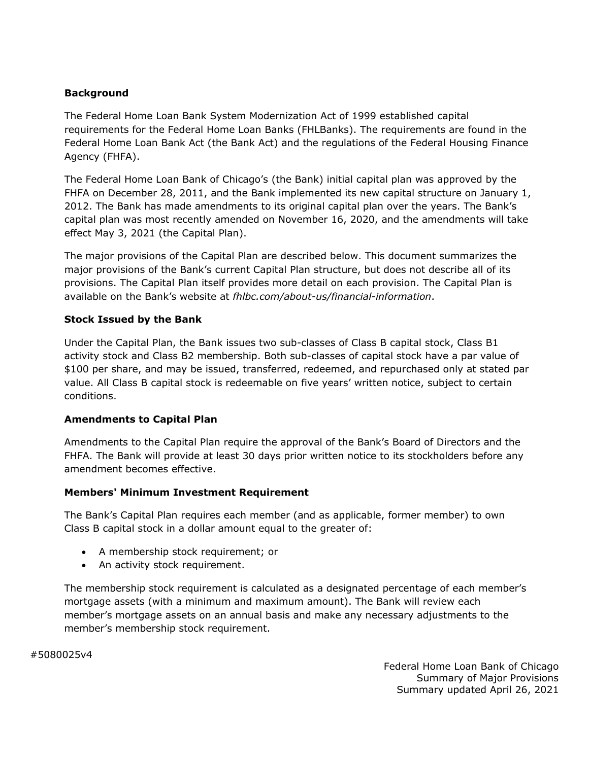### **Background**

The Federal Home Loan Bank System Modernization Act of 1999 established capital requirements for the Federal Home Loan Banks (FHLBanks). The requirements are found in the Federal Home Loan Bank Act (the Bank Act) and the regulations of the Federal Housing Finance Agency (FHFA).

The Federal Home Loan Bank of Chicago's (the Bank) initial capital plan was approved by the FHFA on December 28, 2011, and the Bank implemented its new capital structure on January 1, 2012. The Bank has made amendments to its original capital plan over the years. The Bank's capital plan was most recently amended on November 16, 2020, and the amendments will take effect May 3, 2021 (the Capital Plan).

The major provisions of the Capital Plan are described below. This document summarizes the major provisions of the Bank's current Capital Plan structure, but does not describe all of its provisions. The Capital Plan itself provides more detail on each provision. The Capital Plan is available on the Bank's website at *[fhlbc.com/about-us/financial-information](https://fhlbc.com/about-us/financial-information)*.

### **Stock Issued by the Bank**

Under the Capital Plan, the Bank issues two sub-classes of Class B capital stock, Class B1 activity stock and Class B2 membership. Both sub-classes of capital stock have a par value of \$100 per share, and may be issued, transferred, redeemed, and repurchased only at stated par value. All Class B capital stock is redeemable on five years' written notice, subject to certain conditions.

#### **Amendments to Capital Plan**

Amendments to the Capital Plan require the approval of the Bank's Board of Directors and the FHFA. The Bank will provide at least 30 days prior written notice to its stockholders before any amendment becomes effective.

#### **Members' Minimum Investment Requirement**

The Bank's Capital Plan requires each member (and as applicable, former member) to own Class B capital stock in a dollar amount equal to the greater of:

- A membership stock requirement; or
- An activity stock requirement.

The membership stock requirement is calculated as a designated percentage of each member's mortgage assets (with a minimum and maximum amount). The Bank will review each member's mortgage assets on an annual basis and make any necessary adjustments to the member's membership stock requirement.

#5080025v4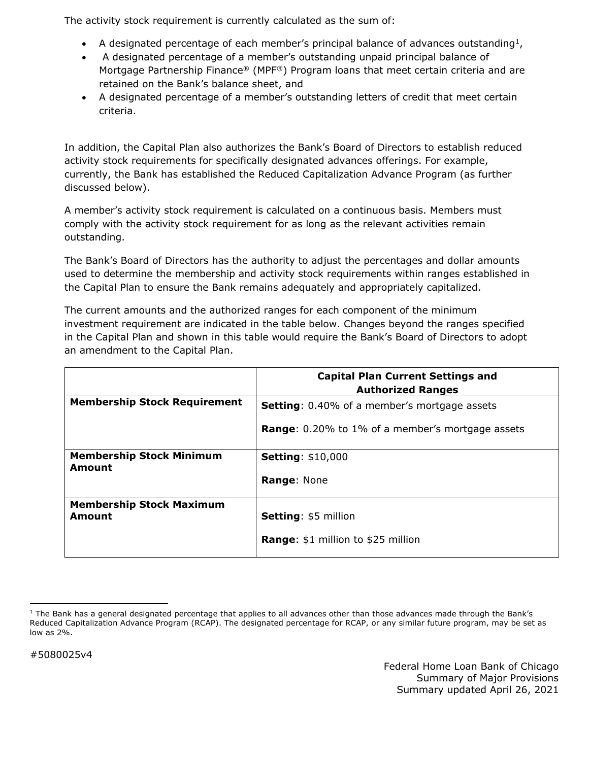The activity stock requirement is currently calculated as the sum of:

- A designated percentage of each member's principal balance of advances outstanding<sup>[1](#page-2-0)</sup>,
- A designated percentage of a member's outstanding unpaid principal balance of Mortgage Partnership Finance® (MPF®) Program loans that meet certain criteria and are retained on the Bank's balance sheet, and
- A designated percentage of a member's outstanding letters of credit that meet certain criteria.

In addition, the Capital Plan also authorizes the Bank's Board of Directors to establish reduced activity stock requirements for specifically designated advances offerings. For example, currently, the Bank has established the Reduced Capitalization Advance Program (as further discussed below).

A member's activity stock requirement is calculated on a continuous basis. Members must comply with the activity stock requirement for as long as the relevant activities remain outstanding.

The Bank's Board of Directors has the authority to adjust the percentages and dollar amounts used to determine the membership and activity stock requirements within ranges established in the Capital Plan to ensure the Bank remains adequately and appropriately capitalized.

The current amounts and the authorized ranges for each component of the minimum investment requirement are indicated in the table below. Changes beyond the ranges specified in the Capital Plan and shown in this table would require the Bank's Board of Directors to adopt an amendment to the Capital Plan.

|                                           | <b>Capital Plan Current Settings and</b><br><b>Authorized Ranges</b> |
|-------------------------------------------|----------------------------------------------------------------------|
| <b>Membership Stock Requirement</b>       | <b>Setting:</b> 0.40% of a member's mortgage assets                  |
|                                           | <b>Range:</b> 0.20% to 1% of a member's mortgage assets              |
| <b>Membership Stock Minimum</b><br>Amount | <b>Setting: \$10,000</b>                                             |
|                                           | <b>Range: None</b>                                                   |
| <b>Membership Stock Maximum</b><br>Amount | <b>Setting: \$5 million</b>                                          |
|                                           | <b>Range: \$1 million to \$25 million</b>                            |

<span id="page-2-0"></span>l  $1$  The Bank has a general designated percentage that applies to all advances other than those advances made through the Bank's Reduced Capitalization Advance Program (RCAP). The designated percentage for RCAP, or any similar future program, may be set as low as 2%.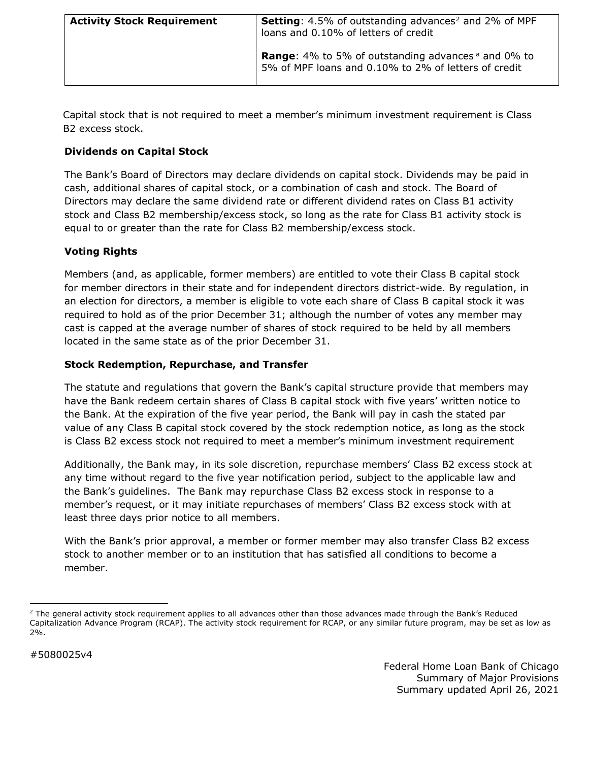| <b>Activity Stock Requirement</b> | <b>Setting:</b> 4.5% of outstanding advances <sup>2</sup> and 2% of MPF<br>loans and 0.10% of letters of credit               |
|-----------------------------------|-------------------------------------------------------------------------------------------------------------------------------|
|                                   | <b>Range:</b> 4% to 5% of outstanding advances <sup>a</sup> and 0% to<br>5% of MPF loans and 0.10% to 2% of letters of credit |

Capital stock that is not required to meet a member's minimum investment requirement is Class B2 excess stock.

# **Dividends on Capital Stock**

The Bank's Board of Directors may declare dividends on capital stock. Dividends may be paid in cash, additional shares of capital stock, or a combination of cash and stock. The Board of Directors may declare the same dividend rate or different dividend rates on Class B1 activity stock and Class B2 membership/excess stock, so long as the rate for Class B1 activity stock is equal to or greater than the rate for Class B2 membership/excess stock.

#### **Voting Rights**

Members (and, as applicable, former members) are entitled to vote their Class B capital stock for member directors in their state and for independent directors district-wide. By regulation, in an election for directors, a member is eligible to vote each share of Class B capital stock it was required to hold as of the prior December 31; although the number of votes any member may cast is capped at the average number of shares of stock required to be held by all members located in the same state as of the prior December 31.

#### **Stock Redemption, Repurchase, and Transfer**

The statute and regulations that govern the Bank's capital structure provide that members may have the Bank redeem certain shares of Class B capital stock with five years' written notice to the Bank. At the expiration of the five year period, the Bank will pay in cash the stated par value of any Class B capital stock covered by the stock redemption notice, as long as the stock is Class B2 excess stock not required to meet a member's minimum investment requirement

Additionally, the Bank may, in its sole discretion, repurchase members' Class B2 excess stock at any time without regard to the five year notification period, subject to the applicable law and the Bank's guidelines. The Bank may repurchase Class B2 excess stock in response to a member's request, or it may initiate repurchases of members' Class B2 excess stock with at least three days prior notice to all members.

With the Bank's prior approval, a member or former member may also transfer Class B2 excess stock to another member or to an institution that has satisfied all conditions to become a member.

l

<span id="page-3-0"></span> $2$  The general activity stock requirement applies to all advances other than those advances made through the Bank's Reduced Capitalization Advance Program (RCAP). The activity stock requirement for RCAP, or any similar future program, may be set as low as 2%.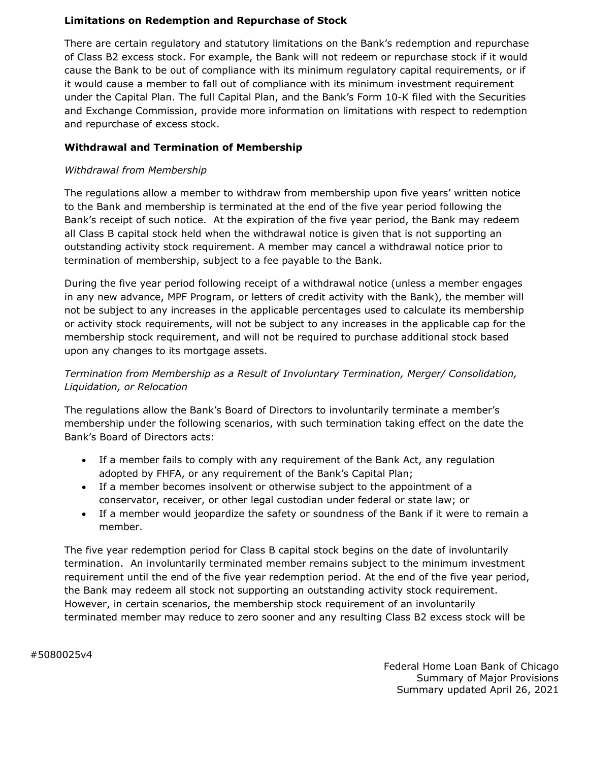#### **Limitations on Redemption and Repurchase of Stock**

There are certain regulatory and statutory limitations on the Bank's redemption and repurchase of Class B2 excess stock. For example, the Bank will not redeem or repurchase stock if it would cause the Bank to be out of compliance with its minimum regulatory capital requirements, or if it would cause a member to fall out of compliance with its minimum investment requirement under the Capital Plan. The full Capital Plan, and the Bank's Form 10-K filed with the Securities and Exchange Commission, provide more information on limitations with respect to redemption and repurchase of excess stock.

# **Withdrawal and Termination of Membership**

#### *Withdrawal from Membership*

The regulations allow a member to withdraw from membership upon five years' written notice to the Bank and membership is terminated at the end of the five year period following the Bank's receipt of such notice. At the expiration of the five year period, the Bank may redeem all Class B capital stock held when the withdrawal notice is given that is not supporting an outstanding activity stock requirement. A member may cancel a withdrawal notice prior to termination of membership, subject to a fee payable to the Bank.

During the five year period following receipt of a withdrawal notice (unless a member engages in any new advance, MPF Program, or letters of credit activity with the Bank), the member will not be subject to any increases in the applicable percentages used to calculate its membership or activity stock requirements, will not be subject to any increases in the applicable cap for the membership stock requirement, and will not be required to purchase additional stock based upon any changes to its mortgage assets.

# *Termination from Membership as a Result of Involuntary Termination, Merger/ Consolidation, Liquidation, or Relocation*

The regulations allow the Bank's Board of Directors to involuntarily terminate a member's membership under the following scenarios, with such termination taking effect on the date the Bank's Board of Directors acts:

- If a member fails to comply with any requirement of the Bank Act, any regulation adopted by FHFA, or any requirement of the Bank's Capital Plan;
- If a member becomes insolvent or otherwise subject to the appointment of a conservator, receiver, or other legal custodian under federal or state law; or
- If a member would jeopardize the safety or soundness of the Bank if it were to remain a member.

The five year redemption period for Class B capital stock begins on the date of involuntarily termination. An involuntarily terminated member remains subject to the minimum investment requirement until the end of the five year redemption period. At the end of the five year period, the Bank may redeem all stock not supporting an outstanding activity stock requirement. However, in certain scenarios, the membership stock requirement of an involuntarily terminated member may reduce to zero sooner and any resulting Class B2 excess stock will be

#5080025v4